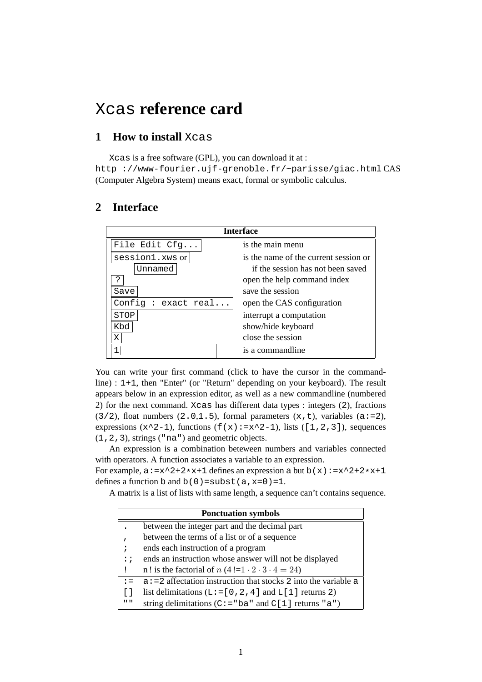## Xcas **reference card**

### **1 How to install** Xcas

Xcas is a free software (GPL), you can download it at : http ://www-fourier.ujf-grenoble.fr/~parisse/giac.html CAS (Computer Algebra System) means exact, formal or symbolic calculus.

### **2 Interface**

| <b>Interface</b>   |                                       |  |  |  |
|--------------------|---------------------------------------|--|--|--|
| File Edit Cfg      | is the main menu                      |  |  |  |
| session1.xws or    | is the name of the current session or |  |  |  |
| Unnamed            | if the session has not been saved     |  |  |  |
| ?                  | open the help command index           |  |  |  |
| Save               | save the session                      |  |  |  |
| Config: exact real | open the CAS configuration            |  |  |  |
| STOP               | interrupt a computation               |  |  |  |
| Kbd                | show/hide keyboard                    |  |  |  |
| X                  | close the session                     |  |  |  |
|                    | is a commandline                      |  |  |  |

You can write your first command (click to have the cursor in the commandline) : 1+1, then "Enter" (or "Return" depending on your keyboard). The result appears below in an expression editor, as well as a new commandline (numbered 2) for the next command. Xcas has different data types : integers (2), fractions  $(3/2)$ , float numbers  $(2.0,1.5)$ , formal parameters  $(x, t)$ , variables  $(a:=2)$ , expressions  $(x^2-1)$ , functions  $(f(x):=x^2-1)$ , lists  $([1,2,3])$ , sequences (1,2,3), strings ("na") and geometric objects.

An expression is a combination beteween numbers and variables connected with operators. A function associates a variable to an expression.

For example,  $a:=x^2+2*x+1$  defines an expression a but  $b(x):=x^2+2*x+1$ defines a function b and  $b(0)$  = subst(a, x=0)=1.

A matrix is a list of lists with same length, a sequence can't contains sequence.

|                           | <b>Ponctuation symbols</b>                                         |
|---------------------------|--------------------------------------------------------------------|
|                           | between the integer part and the decimal part                      |
| $\mathbf{r}$              | between the terms of a list or of a sequence                       |
| ÷                         | ends each instruction of a program                                 |
| $\mathbf{1}$ :            | ends an instruction whose answer will not be displayed             |
|                           | n! is the factorial of $n(4!=1 \cdot 2 \cdot 3 \cdot 4 = 24)$      |
| $\mathbf{r} =$            | $a := 2$ affectation instruction that stocks 2 into the variable a |
|                           | list delimitations ( $L := [0, 2, 4]$ and $L[1]$ returns 2)        |
| $\mathbf{H}$ $\mathbf{H}$ | string delimitations ( $C := "ba"$ and $C[1]$ returns "a")         |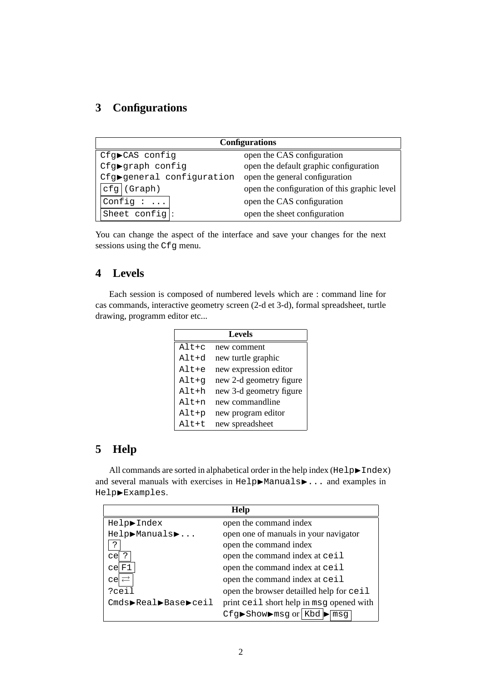### **3 Configurations**

| <b>Configurations</b>     |                                              |  |  |
|---------------------------|----------------------------------------------|--|--|
| Cfg▶CAS config            | open the CAS configuration                   |  |  |
| Cfg▶graph config          | open the default graphic configuration       |  |  |
| Cfg>general configuration | open the general configuration               |  |  |
| $cfg$ (Graph)             | open the configuration of this graphic level |  |  |
| Config $: $               | open the CAS configuration                   |  |  |
| Sheet config:             | open the sheet configuration                 |  |  |

You can change the aspect of the interface and save your changes for the next sessions using the Cfg menu.

### **4 Levels**

Each session is composed of numbered levels which are : command line for cas commands, interactive geometry screen (2-d et 3-d), formal spreadsheet, turtle drawing, programm editor etc...

| <b>Levels</b> |                         |  |  |
|---------------|-------------------------|--|--|
| $Alt+c$       | new comment             |  |  |
| $Alt+d$       | new turtle graphic      |  |  |
| $Alt+e$       | new expression editor   |  |  |
| Alt+g         | new 2-d geometry figure |  |  |
| $Alt+h$       | new 3-d geometry figure |  |  |
| $Alt+n$       | new commandline         |  |  |
| Alt+p         | new program editor      |  |  |
| $Alt$ +t      | new spreadsheet         |  |  |

### **5 Help**

All commands are sorted in alphabetical order in the help index ( $He1p\blacktriangleright$ Index) and several manuals with exercises in Help▶Manuals▶... and examples in Help▶Examples.

| Help                                                     |                                          |  |  |  |
|----------------------------------------------------------|------------------------------------------|--|--|--|
| Help▶Index                                               | open the command index                   |  |  |  |
| Help>Manuals>                                            | open one of manuals in your navigator    |  |  |  |
| open the command index<br>?                              |                                          |  |  |  |
| open the command index at ceil<br>$ce \mid ?$            |                                          |  |  |  |
| open the command index at ceil<br>ce F1                  |                                          |  |  |  |
| $ce  \rightleftarrows$<br>open the command index at ceil |                                          |  |  |  |
| ?ceil                                                    | open the browser detailled help for ceil |  |  |  |
| Cmds>Real>Base>ceil                                      | print ceil short help in msg opened with |  |  |  |
|                                                          | $Cfg$ Show mag or Kbd<br>msq             |  |  |  |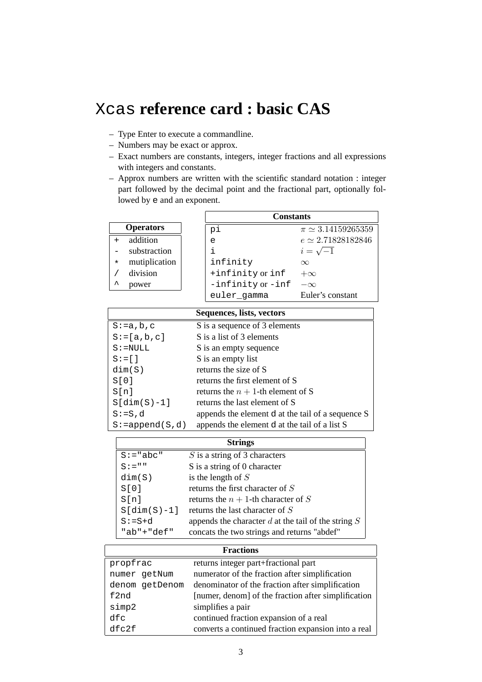## Xcas **reference card : basic CAS**

- Type Enter to execute a commandline.
- Numbers may be exact or approx.
- Exact numbers are constants, integers, integer fractions and all expressions with integers and constants.
- Approx numbers are written with the scientific standard notation : integer part followed by the decimal point and the fractional part, optionally followed by e and an exponent.

|         |                  | <b>Constants</b>  |                            |  |
|---------|------------------|-------------------|----------------------------|--|
|         | <b>Operators</b> | рi                | $\pi \simeq 3.14159265359$ |  |
|         | addition         | e                 | $e \simeq 2.71828182846$   |  |
|         | substraction     | i.                | $i=\sqrt{-1}$              |  |
| $\star$ | mutiplication    | infinity          | $\infty$                   |  |
|         | division         | +infinity or inf  | $+\infty$                  |  |
| ᄉ       | power            | -infinity or -inf | $-\infty$                  |  |
|         |                  | euler_gamma       | Euler's constant           |  |

|                     | Sequences, lists, vectors                         |
|---------------------|---------------------------------------------------|
| $S := a, b, c$      | S is a sequence of 3 elements                     |
| $S := [a, b, c]$    | S is a list of 3 elements                         |
| $S := NULL$         | S is an empty sequence                            |
| $S := [ ]$          | S is an empty list                                |
| dim(S)              | returns the size of S                             |
| S[0]                | returns the first element of S                    |
| S[n]                | returns the $n + 1$ -th element of S              |
| $S[dim(S)-1]$       | returns the last element of S                     |
| $S := S, d$         | appends the element d at the tail of a sequence S |
| $S := append(S, d)$ | appends the element d at the tail of a list S     |

| <b>Strings</b> |                                                         |  |
|----------------|---------------------------------------------------------|--|
| $S := "abc"$   | $S$ is a string of 3 characters                         |  |
| $S := " "$     | S is a string of 0 character                            |  |
| dim(S)         | is the length of $S$                                    |  |
| S[0]           | returns the first character of $S$                      |  |
| S[n]           | returns the $n + 1$ -th character of S                  |  |
| $S[dim(S)-1]$  | returns the last character of $S$                       |  |
| $S := S + d$   | appends the character $d$ at the tail of the string $S$ |  |
| "ab" $+$ "def" | concats the two strings and returns "abdef"             |  |

| <b>Fractions</b>                                 |                                                     |  |  |
|--------------------------------------------------|-----------------------------------------------------|--|--|
| returns integer part+fractional part<br>propfrac |                                                     |  |  |
| numer getNum                                     | numerator of the fraction after simplification      |  |  |
| denom getDenom                                   | denominator of the fraction after simplification    |  |  |
| f2nd                                             | [numer, denom] of the fraction after simplification |  |  |
| simp2                                            | simplifies a pair                                   |  |  |
| dfc                                              | continued fraction expansion of a real              |  |  |
| dfc2f                                            | converts a continued fraction expansion into a real |  |  |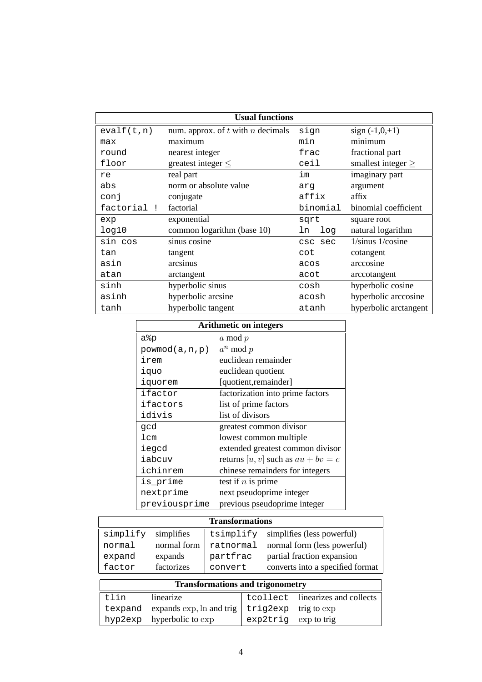| <b>Usual functions</b>    |                                       |           |                         |  |
|---------------------------|---------------------------------------|-----------|-------------------------|--|
| evalf(t,n)                | num. approx. of $t$ with $n$ decimals |           | sign $(-1,0,+1)$        |  |
| max                       | maximum                               | min       | minimum                 |  |
| round                     | nearest integer                       | frac      | fractional part         |  |
| floor                     | greatest integer $\leq$               | ceil      | smallest integer $\geq$ |  |
| re                        | real part                             | im        | imaginary part          |  |
| abs                       | norm or absolute value                | arq       | argument                |  |
| conj                      | conjugate                             | affix     | affix                   |  |
| factorial<br>$\mathbf{I}$ | factorial                             | binomial  | binomial coefficient    |  |
| exp                       | exponential                           | sqrt      | square root             |  |
| log10                     | common logarithm (base 10)            | log<br>ln | natural logarithm       |  |
| sin cos                   | sinus cosine                          | csc sec   | $1/\sinus 1/\cosine$    |  |
| tan                       | tangent                               | cot       | cotangent               |  |
| asin                      | arcsinus                              | acos      | arccosine               |  |
| atan                      | arctangent                            | acot      | arccotangent            |  |
| sinh                      | hyperbolic sinus                      | cosh      | hyperbolic cosine       |  |
| asinh                     | hyperbolic arcsine                    | acosh     | hyperbolic arccosine    |  |
| tanh                      | hyperbolic tangent                    | atanh     | hyperbolic arctangent   |  |

| <b>Arithmetic on integers</b> |                                      |  |
|-------------------------------|--------------------------------------|--|
| a%p                           | $a \mod p$                           |  |
| powmod(a, n, p)               | $a^n \bmod p$                        |  |
| irem                          | euclidean remainder                  |  |
| iquo                          | euclidean quotient                   |  |
| iquorem                       | [quotient, remainder]                |  |
| ifactor                       | factorization into prime factors     |  |
| ifactors                      | list of prime factors                |  |
| idivis                        | list of divisors                     |  |
| gcd                           | greatest common divisor              |  |
| 1cm                           | lowest common multiple               |  |
| iegcd                         | extended greatest common divisor     |  |
| iabcuv                        | returns [u, v] such as $au + bv = c$ |  |
| ichinrem                      | chinese remainders for integers      |  |
| is_prime                      | test if $n$ is prime                 |  |
| nextprime                     | next pseudoprime integer             |  |
| previousprime                 | previous pseudoprime integer         |  |

| <b>Transformations</b>                  |                          |           |  |                                  |                            |  |
|-----------------------------------------|--------------------------|-----------|--|----------------------------------|----------------------------|--|
| simplify                                | simplifies               | tsimplify |  | simplifies (less powerful)       |                            |  |
| normal                                  | normal form              | ratnormal |  | normal form (less powerful)      |                            |  |
| expand                                  | expands                  | partfrac  |  |                                  | partial fraction expansion |  |
| factor                                  | factorizes               | convert   |  | converts into a specified format |                            |  |
| <b>Transformations and trigonometry</b> |                          |           |  |                                  |                            |  |
|                                         |                          |           |  |                                  |                            |  |
| tlin                                    | linearize                |           |  | tcollect                         | linearizes and collects    |  |
| texpand                                 | expands exp, ln and trig |           |  | trig2exp                         | trig to exp                |  |
| hyp2exp                                 | hyperbolic to exp        |           |  | exp2trig                         | exp to trig                |  |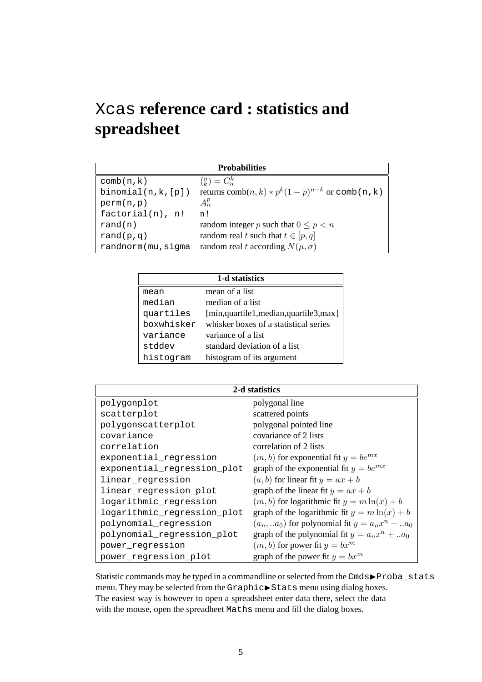## Xcas **reference card : statistics and spreadsheet**

| <b>Probabilities</b> |                                                           |  |
|----------------------|-----------------------------------------------------------|--|
| comb(n, k)           | $\binom{n}{k} = C_n^k$                                    |  |
| binomial(n,k,[p])    | returns comb $(n, k) * p^{k}(1-p)^{n-k}$ or comb $(n, k)$ |  |
| perm(n,p)            | $A_n^p$                                                   |  |
| factorial(n), n!     | n!                                                        |  |
| rand(n)              | random integer p such that $0 \le p < n$                  |  |
| rand $(p,q)$         | random real t such that $t \in [p, q]$                    |  |
| randnorm(mu, sigma   | random real t according $N(\mu, \sigma)$                  |  |

| 1-d statistics |                                       |  |
|----------------|---------------------------------------|--|
| mean           | mean of a list                        |  |
| median         | median of a list                      |  |
| quartiles      | [min,quartile1,median,quartile3,max]  |  |
| boxwhisker     | whisker boxes of a statistical series |  |
| variance       | variance of a list                    |  |
| stddev         | standard deviation of a list          |  |
| histogram      | histogram of its argument             |  |

|                             | 2-d statistics                                      |
|-----------------------------|-----------------------------------------------------|
| polygonplot                 | polygonal line                                      |
| scatterplot                 | scattered points                                    |
| polygonscatterplot          | polygonal pointed line                              |
| covariance                  | covariance of 2 lists                               |
| correlation                 | correlation of 2 lists                              |
| exponential_regression      | $(m, b)$ for exponential fit $y = be^{mx}$          |
| exponential_regression_plot | graph of the exponential fit $y = be^{mx}$          |
| linear_regression           | $(a, b)$ for linear fit $y = ax + b$                |
| linear_regression_plot      | graph of the linear fit $y = ax + b$                |
| logarithmic_regression      | $(m, b)$ for logarithmic fit $y = m \ln(x) + b$     |
| logarithmic_regression_plot | graph of the logarithmic fit $y = m \ln(x) + b$     |
| polynomial_regression       | $(a_n, a_0)$ for polynomial fit $y = a_n x^n + a_0$ |
| polynomial_regression_plot  | graph of the polynomial fit $y = a_n x^n +  a_0$    |
| power_regression            | $(m, b)$ for power fit $y = bx^m$                   |
| power_regression_plot       | graph of the power fit $y = bx^m$                   |

Statistic commands may be typed in a commandline or selected from the Cmds $\blacktriangleright$ Proba\_stats menu. They may be selected from the Graphic▶Stats menu using dialog boxes. The easiest way is however to open a spreadsheet enter data there, select the data with the mouse, open the spreadheet Maths menu and fill the dialog boxes.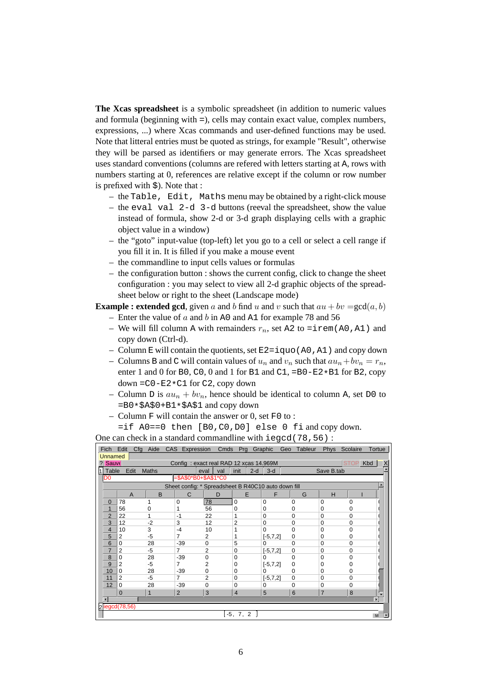**The Xcas spreadsheet** is a symbolic spreadsheet (in addition to numeric values and formula (beginning with =), cells may contain exact value, complex numbers, expressions, ...) where Xcas commands and user-defined functions may be used. Note that litteral entries must be quoted as strings, for example "Result", otherwise they will be parsed as identifiers or may generate errors. The Xcas spreadsheet uses standard conventions (columns are refered with letters starting at A, rows with numbers starting at 0, references are relative except if the column or row number is prefixed with \$). Note that :

- the Table, Edit, Maths menu may be obtained by a right-click mouse
- the eval val 2-d 3-d buttons (reeval the spreadsheet, show the value instead of formula, show 2-d or 3-d graph displaying cells with a graphic object value in a window)
- the "goto" input-value (top-left) let you go to a cell or select a cell range if you fill it in. It is filled if you make a mouse event
- the commandline to input cells values or formulas
- the configuration button : shows the current config, click to change the sheet configuration : you may select to view all 2-d graphic objects of the spreadsheet below or right to the sheet (Landscape mode)

**Example : extended gcd**, given a and b find u and v such that  $au + bv = \gcd(a, b)$ 

- Enter the value of  $a$  and  $b$  in A0 and A1 for example 78 and 56
- We will fill column A with remainders  $r_n$ , set A2 to =irem(A0,A1) and copy down (Ctrl-d).
- Column E will contain the quotients, set  $E2 = i$  quo (A0, A1) and copy down
- Columns B and C will contain values of  $u_n$  and  $v_n$  such that  $au_n+bv_n = r_n$ , enter 1 and 0 for B0, C0, 0 and 1 for B1 and C1, =B0-E2\*B1 for B2, copy down  $=$   $C0 - E2 * C1$  for C2, copy down
- Column D is  $au_n + bv_n$ , hence should be identical to column A, set D0 to =B0\*\$A\$0+B1\*\$A\$1 and copy down
- Column  $F$  will contain the answer or 0, set  $F0$  to :

```
=if A0==0 then [B0,C0,D0] else 0 fi and copy down.
```
One can check in a standard commandline with iegcd(78,56):

| Fich           | Edit<br>Cfq       | Aide         |                | CAS Expression Cmds                                 | Prg Graphic    |              | Tableur<br>Geo | <b>Phys</b>    | Scolaire    | Tortue              |
|----------------|-------------------|--------------|----------------|-----------------------------------------------------|----------------|--------------|----------------|----------------|-------------|---------------------|
| <b>Unnamed</b> |                   |              |                |                                                     |                |              |                |                |             |                     |
| ? Sauve        |                   |              |                | Config: exact real RAD 12 xcas 14.969M              |                |              |                |                | <b>STOP</b> | Kbd<br>$\mathsf{X}$ |
| $1$ Table      | Edit              | <b>Maths</b> |                | val<br>eval                                         | init<br>$2-d$  | $3-d$        |                | Save B.tab     |             |                     |
| D <sub>0</sub> |                   |              |                | =\$A\$0*B0+\$A\$1*C0                                |                |              |                |                |             |                     |
|                |                   |              |                | Sheet config: * Spreadsheet B R40C10 auto down fill |                |              |                |                |             |                     |
|                | $\overline{A}$    | B            | C              | D                                                   | E              | F            | G              | H              |             |                     |
| 0              | 78                | 1            | $\Omega$       | 78                                                  | $\Omega$       | $\Omega$     | 0              | $\Omega$       | $\Omega$    |                     |
|                | 56                | 0            |                | 56                                                  | 0              | $\Omega$     | 0              | 0              | 0           |                     |
| $\overline{2}$ | 22                | 1            | $-1$           | 22                                                  |                | $\Omega$     | 0              | 0              | $\Omega$    |                     |
| 3              | 12                | $-2$         | 3              | 12                                                  | 2              | $\Omega$     | 0              | $\Omega$       | $\Omega$    |                     |
| 4              | 10                | 3            | -4             | 10                                                  |                | 0            | 0              | 0              | 0           |                     |
| 5              | $\overline{2}$    | -5           | 7              | 2                                                   | 1              | $[-5, 7, 2]$ | 0              | $\mathbf 0$    | $\Omega$    |                     |
| 6              | 0                 | 28           | $-39$          | $\mathbf 0$                                         | 5              | 0            | 0              | 0              | $\Omega$    |                     |
| 7              | $\overline{2}$    | $-5$         | $\overline{7}$ | 2                                                   | 0              | $[-5, 7, 2]$ | 0              | 0              | $\Omega$    |                     |
| 8              | 0                 | 28           | $-39$          | 0                                                   | 0              | 0            | 0              | $\Omega$       | $\Omega$    |                     |
| 9              | $\overline{2}$    | $-5$         | 7              | 2                                                   | 0              | $[-5, 7, 2]$ | 0              | 0              | 0           |                     |
| 10             | $\mathbf 0$       | 28           | $-39$          | 0                                                   | 0              | 0            | $\mathbf 0$    | $\mathbf 0$    | $\Omega$    |                     |
| 11             | $\overline{2}$    | $-5$         | $\overline{7}$ | 2                                                   | 0              | $[-5, 7, 2]$ | 0              | 0              | $\Omega$    |                     |
| 12             | $\mathbf 0$       | 28           | $-39$          | $\mathbf 0$                                         | 0              | 0            | $\mathbf 0$    | $\mathbf 0$    | $\Omega$    |                     |
|                | $\mathbf 0$       | 1            | $\overline{2}$ | 3                                                   | $\overline{4}$ | 5            | 6              | $\overline{7}$ | 8           |                     |
| $\overline{ }$ |                   |              |                |                                                     |                |              |                |                |             |                     |
|                | $2$  iegcd(78,56) |              |                |                                                     |                |              |                |                |             |                     |
|                |                   |              |                |                                                     | [-5, 7, 2 ]    |              |                |                |             | M                   |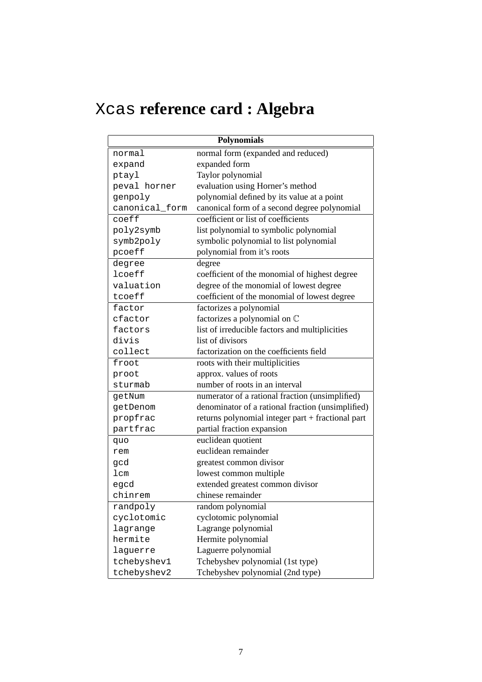# Xcas **reference card : Algebra**

|                | <b>Polynomials</b>                                |
|----------------|---------------------------------------------------|
| normal         | normal form (expanded and reduced)                |
| expand         | expanded form                                     |
| ptayl          | Taylor polynomial                                 |
| peval horner   | evaluation using Horner's method                  |
| genpoly        | polynomial defined by its value at a point        |
| canonical_form | canonical form of a second degree polynomial      |
| coeff          | coefficient or list of coefficients               |
| poly2symb      | list polynomial to symbolic polynomial            |
| symb2poly      | symbolic polynomial to list polynomial            |
| pcoeff         | polynomial from it's roots                        |
| degree         | degree                                            |
| lcoeff         | coefficient of the monomial of highest degree     |
| valuation      | degree of the monomial of lowest degree           |
| tcoeff         | coefficient of the monomial of lowest degree      |
| factor         | factorizes a polynomial                           |
| cfactor        | factorizes a polynomial on C                      |
| factors        | list of irreducible factors and multiplicities    |
| divis          | list of divisors                                  |
| collect        | factorization on the coefficients field           |
| froot          | roots with their multiplicities                   |
| proot          | approx. values of roots                           |
| sturmab        | number of roots in an interval                    |
| getNum         | numerator of a rational fraction (unsimplified)   |
| getDenom       | denominator of a rational fraction (unsimplified) |
| propfrac       | returns polynomial integer part + fractional part |
| partfrac       | partial fraction expansion                        |
| quo            | euclidean quotient                                |
| rem            | euclidean remainder                               |
| gcd            | greatest common divisor                           |
| lcm            | lowest common multiple                            |
| egcd           | extended greatest common divisor                  |
| chinrem        | chinese remainder                                 |
| randpoly       | random polynomial                                 |
| cyclotomic     | cyclotomic polynomial                             |
| lagrange       | Lagrange polynomial                               |
| hermite        | Hermite polynomial                                |
| laguerre       | Laguerre polynomial                               |
| tchebyshev1    | Tchebyshev polynomial (1st type)                  |
| tchebyshev2    | Tchebyshev polynomial (2nd type)                  |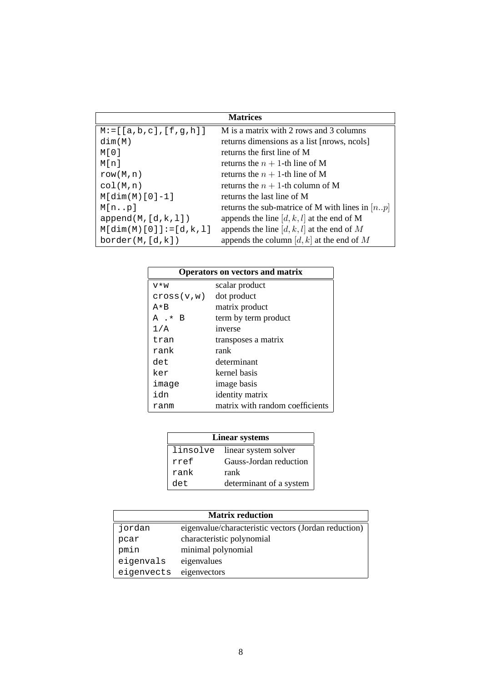|                                 | <b>Matrices</b>                                   |
|---------------------------------|---------------------------------------------------|
| $M := [ [a, b, c], [f, g, h] ]$ | M is a matrix with 2 rows and 3 columns           |
| dim(M)                          | returns dimensions as a list [nrows, ncols]       |
| M[O]                            | returns the first line of M                       |
| Mfnl                            | returns the $n + 1$ -th line of M                 |
| row(M, n)                       | returns the $n + 1$ -th line of M                 |
| col(M,n)                        | returns the $n + 1$ -th column of M               |
| $M[dim(M)[0]-1]$                | returns the last line of M                        |
| M[np]                           | returns the sub-matrice of M with lines in $[np]$ |
| append(M,[d,k,l])               | appends the line $[d, k, l]$ at the end of M      |
| $M[dim(M)[0]] := [d,k,l]$       | appends the line $[d, k, l]$ at the end of M      |
| border(M,[d,k])                 | appends the column $[d, k]$ at the end of M       |

| <b>Operators on vectors and matrix</b> |                                 |  |  |
|----------------------------------------|---------------------------------|--|--|
| V∗W                                    | scalar product                  |  |  |
| cross(v,w)                             | dot product                     |  |  |
| $A * B$                                | matrix product                  |  |  |
| A .* B                                 | term by term product            |  |  |
| 1/A                                    | inverse                         |  |  |
| tran                                   | transposes a matrix             |  |  |
| rank                                   | rank                            |  |  |
| det.                                   | determinant                     |  |  |
| ker                                    | kernel basis                    |  |  |
| image                                  | image basis                     |  |  |
| idn                                    | identity matrix                 |  |  |
| ranm                                   | matrix with random coefficients |  |  |

| <b>Linear systems</b> |                               |  |
|-----------------------|-------------------------------|--|
|                       | linsolve linear system solver |  |
| rref                  | Gauss-Jordan reduction        |  |
| rank                  | rank                          |  |
| det.                  | determinant of a system       |  |

| <b>Matrix reduction</b> |                                                      |  |
|-------------------------|------------------------------------------------------|--|
| jordan                  | eigenvalue/characteristic vectors (Jordan reduction) |  |
| pcar                    | characteristic polynomial                            |  |
| pmin                    | minimal polynomial                                   |  |
| eigenvals               | eigenvalues                                          |  |
| eigenvects              | eigenvectors                                         |  |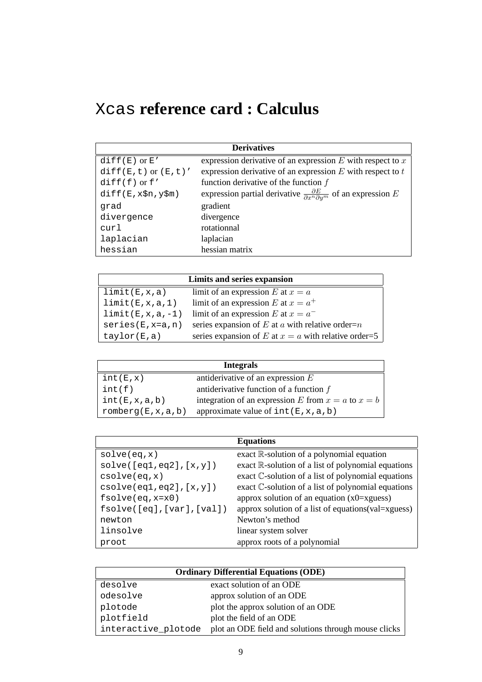# Xcas **reference card : Calculus**

| <b>Derivatives</b>        |                                                                                                 |  |  |
|---------------------------|-------------------------------------------------------------------------------------------------|--|--|
| $diff(E)$ or $E'$         | expression derivative of an expression $E$ with respect to $x$                                  |  |  |
| $diff(E,t)$ or $(E,t)'$   | expression derivative of an expression $E$ with respect to $t$                                  |  |  |
| $diff(f)$ or $f'$         | function derivative of the function $f$                                                         |  |  |
| $diff(E, x$ \$n, $y$ \$m) | expression partial derivative $\frac{\partial E}{\partial x^n \partial y^m}$ of an expression E |  |  |
| grad                      | gradient                                                                                        |  |  |
| divergence                | divergence                                                                                      |  |  |
| curl                      | rotationnal                                                                                     |  |  |
| laplacian                 | laplacian                                                                                       |  |  |
| hessian                   | hessian matrix                                                                                  |  |  |

| Limits and series expansion |                                                         |  |
|-----------------------------|---------------------------------------------------------|--|
| limit(E, x, a)              | limit of an expression E at $x = a$                     |  |
| limit(E, x, a, 1)           | limit of an expression E at $x = a^+$                   |  |
| $limit(E, x, a, -1)$        | limit of an expression E at $x = a^{-}$                 |  |
| $series(E, x=a, n)$         | series expansion of $E$ at $a$ with relative order= $n$ |  |
| taylor(E,a)                 | series expansion of E at $x = a$ with relative order=5  |  |

| <b>Integrals</b>    |                                                        |  |
|---------------------|--------------------------------------------------------|--|
| int(E,x)            | antiderivative of an expression $E$                    |  |
| int(f)              | antiderivative function of a function $f$              |  |
| int(E, x, a, b)     | integration of an expression E from $x = a$ to $x = b$ |  |
| romberg(E, x, a, b) | approximate value of $int(E, x, a, b)$                 |  |

|                           | <b>Equations</b>                                               |
|---------------------------|----------------------------------------------------------------|
| solve(eq, x)              | exact $\mathbb{R}$ -solution of a polynomial equation          |
| solve([eq1, eq2], [x, y]) | exact $\mathbb{R}$ -solution of a list of polynomial equations |
| csolve(eq, x)             | exact C-solution of a list of polynomial equations             |
| csolve(eq1, eq2], [x, y]) | exact C-solution of a list of polynomial equations             |
| $fsolve(eq, x=x0)$        | approx solution of an equation $(x0=xyz)$                      |
| fsolve([eq],[var],[val])  | approx solution of a list of equations (val=xguess)            |
| newton                    | Newton's method                                                |
| linsolve                  | linear system solver                                           |
| proot                     | approx roots of a polynomial                                   |

| <b>Ordinary Differential Equations (ODE)</b> |                                                      |  |
|----------------------------------------------|------------------------------------------------------|--|
| desolve                                      | exact solution of an ODE                             |  |
| odesolve                                     | approx solution of an ODE                            |  |
| plotode                                      | plot the approx solution of an ODE                   |  |
| plotfield                                    | plot the field of an ODE                             |  |
| interactive_plotode                          | plot an ODE field and solutions through mouse clicks |  |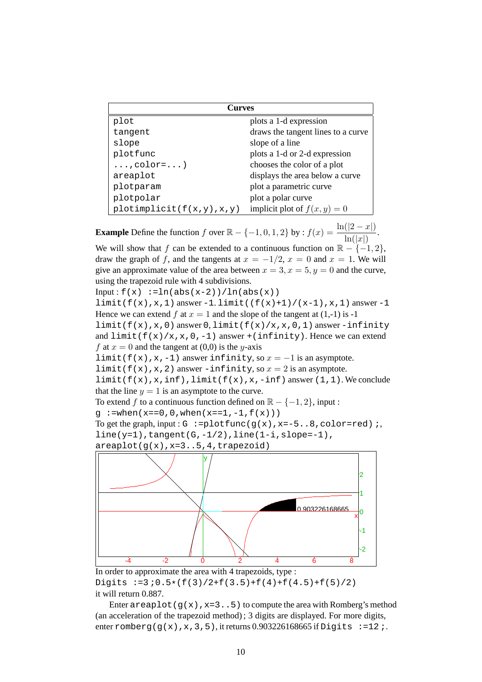| <b>Curves</b>                |                                    |
|------------------------------|------------------------------------|
| plot                         | plots a 1-d expression             |
| tangent                      | draws the tangent lines to a curve |
| slope                        | slope of a line                    |
| plotfunc                     | plots a 1-d or 2-d expression      |
| $\ldots$ , color= $\ldots$ ) | chooses the color of a plot        |
| areaplot                     | displays the area below a curve    |
| plotparam                    | plot a parametric curve            |
| plotpolar                    | plot a polar curve                 |
| plotimplicit(f(x,y),x,y)     | implicit plot of $f(x, y) = 0$     |

**Example** Define the function f over  $\mathbb{R} - \{-1, 0, 1, 2\}$  by :  $f(x) = \frac{\ln(|2 - x|)}{\ln(|x|)}$ . We will show that f can be extended to a continuous function on  $\mathbb{R} - \{-1, 2\}$ , draw the graph of f, and the tangents at  $x = -1/2$ ,  $x = 0$  and  $x = 1$ . We will give an approximate value of the area between  $x = 3, x = 5, y = 0$  and the curve, using the trapezoid rule with 4 subdivisions. Input :  $f(x) := ln(abs(x-2))/ln(abs(x))$  $limit(f(x),x,1)$  answer -1. limit( $(f(x)+1)/(x-1),x,1)$  answer -1 Hence we can extend f at  $x = 1$  and the slope of the tangent at  $(1,-1)$  is -1 limit( $f(x)$ , x,0) answer 0, limit( $f(x)/x$ , x,0,1) answer -infinity and  $limit(f(x)/x,x,0,-1)$  answer +(infinity). Hence we can extend f at  $x = 0$  and the tangent at (0,0) is the y-axis limit(f(x),x,-1) answer infinity, so  $x = -1$  is an asymptote. limit(f(x),x,2) answer -infinity, so  $x = 2$  is an asymptote. limit(f(x),x,inf),limit(f(x),x,-inf) answer  $(1,1)$ . We conclude that the line  $y = 1$  is an asymptote to the curve. To extend f to a continuous function defined on  $\mathbb{R} - \{-1, 2\}$ , input : q :=when( $x=-0$ , 0, when( $x=-1$ ,  $-1$ ,  $f(x)$ )) To get the graph, input:  $G := plotfunc(g(x), x = -5..8, color = red);$ line(y=1),tangent(G,-1/2),line(1-i,slope=-1),  $areaplot(g(x),x=3..5,4,trapezoid)$ y 1 2



In order to approximate the area with 4 trapezoids, type : Digits  $:=3:0.5*(f(3)/2+f(3.5)+f(4)+f(4.5)+f(5)/2)$ it will return 0.887.

Enter areaplot ( $g(x)$ ,  $x=3.5$ ) to compute the area with Romberg's method (an acceleration of the trapezoid method) ; 3 digits are displayed. For more digits, enter romberg(g(x),x,3,5), it returns 0.903226168665 if Digits :=12 ;.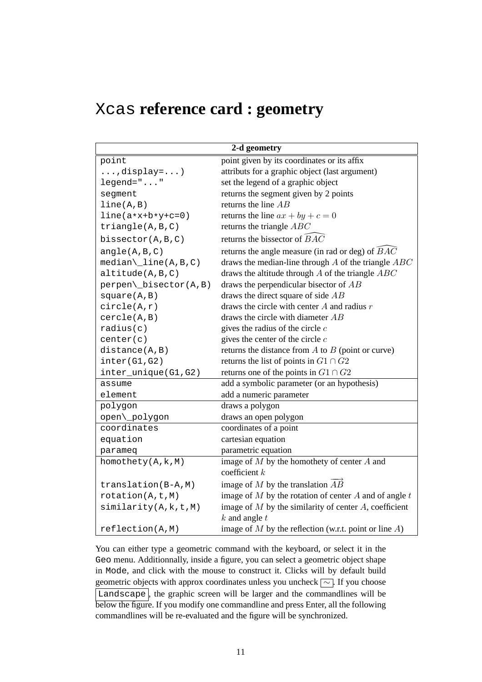## Xcas **reference card : geometry**

| 2-d geometry                 |                                                             |  |
|------------------------------|-------------------------------------------------------------|--|
| point                        | point given by its coordinates or its affix                 |  |
| $\ldots$ , display=)         | attributs for a graphic object (last argument)              |  |
| $legend="$ "                 | set the legend of a graphic object                          |  |
| segment                      | returns the segment given by 2 points                       |  |
| line(A,B)                    | returns the line $AB$                                       |  |
| $line(a*x+b*y+c=0)$          | returns the line $ax + by + c = 0$                          |  |
| triangle(A,B,C)              | returns the triangle $ABC$                                  |  |
| bissector(A, B, C)           | returns the bissector of $\widehat{BAC}$                    |  |
| angle(A,B,C)                 | returns the angle measure (in rad or deg) of $BAC$          |  |
| $median\_\line{line(A,B,C)}$ | draws the median-line through $A$ of the triangle $ABC$     |  |
| altitude(A,B,C)              | draws the altitude through $A$ of the triangle $ABC$        |  |
| perpen\_bisector(A,B)        | draws the perpendicular bisector of $AB$                    |  |
| square(A,B)                  | draws the direct square of side $AB$                        |  |
| circle(A,r)                  | draws the circle with center $A$ and radius $r$             |  |
| cercle(A,B)                  | draws the circle with diameter $AB$                         |  |
| radius(c)                    | gives the radius of the circle $c$                          |  |
| center(c)                    | gives the center of the circle $c$                          |  |
| distance(A, B)               | returns the distance from $A$ to $B$ (point or curve)       |  |
| inter(G1, G2)                | returns the list of points in $G1 \cap G2$                  |  |
| inter_unique(G1,G2)          | returns one of the points in $G1 \cap G2$                   |  |
| assume                       | add a symbolic parameter (or an hypothesis)                 |  |
| element                      | add a numeric parameter                                     |  |
| polygon                      | draws a polygon                                             |  |
| open\_polygon                | draws an open polygon                                       |  |
| coordinates                  | coordinates of a point                                      |  |
| equation                     | cartesian equation                                          |  |
| parameq                      | parametric equation                                         |  |
| homothety(A, k, M)           | image of $M$ by the homothety of center $A$ and             |  |
|                              | coefficient $k$                                             |  |
| translation(B-A, M)          | image of M by the translation $\overrightarrow{AB}$         |  |
| rotation(A, t, M)            | image of $M$ by the rotation of center $A$ and of angle $t$ |  |
| similarity(A, k, t, M)       | image of $M$ by the similarity of center $A$ , coefficient  |  |
|                              | $k$ and angle $t$                                           |  |
| reflection(A,M)              | image of $M$ by the reflection (w.r.t. point or line $A$ )  |  |

You can either type a geometric command with the keyboard, or select it in the Geo menu. Additionnally, inside a figure, you can select a geometric object shape in Mode, and click with the mouse to construct it. Clicks will by default build geometric objects with approx coordinates unless you uncheck  $\sim$ . If you choose Landscape , the graphic screen will be larger and the commandlines will be below the figure. If you modify one commandline and press Enter, all the following commandlines will be re-evaluated and the figure will be synchronized.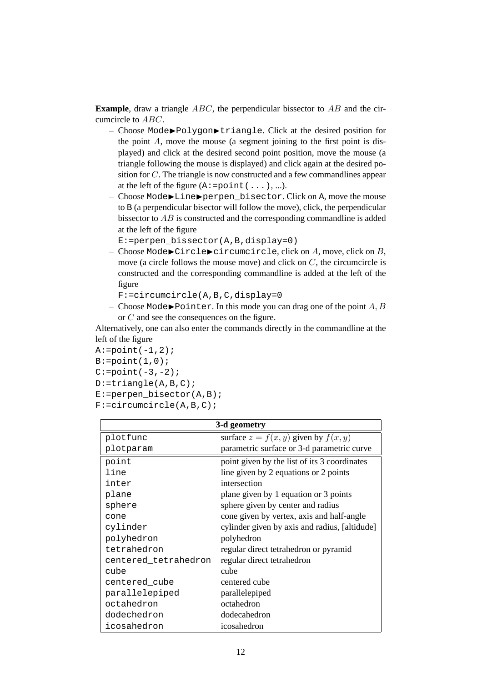**Example**, draw a triangle ABC, the perpendicular bissector to AB and the circumcircle to ABC.

- Choose Mode◮Polygon◮triangle. Click at the desired position for the point  $A$ , move the mouse (a segment joining to the first point is displayed) and click at the desired second point position, move the mouse (a triangle following the mouse is displayed) and click again at the desired position for C. The triangle is now constructed and a few commandlines appear at the left of the figure  $(A:=point(...),...).$
- Choose Mode▶Line▶perpen bisector. Click on A, move the mouse to B (a perpendicular bisector will follow the move), click, the perpendicular bissector to AB is constructed and the corresponding commandline is added at the left of the figure

```
E:=perpen_bissector(A,B,display=0)
```
– Choose Mode▶Circle▶circumcircle, click on  $A$ , move, click on  $B$ , move (a circle follows the mouse move) and click on  $C$ , the circumcircle is constructed and the corresponding commandline is added at the left of the figure

F:=circumcircle(A,B,C,display=0

– Choose Mode $\blacktriangleright$  Pointer. In this mode you can drag one of the point A, B or C and see the consequences on the figure.

Alternatively, one can also enter the commands directly in the commandline at the left of the figure

```
A:=point(-1,2);B:=point(1,0);C:=point(-3,-2);D:=triangle(A,B,C);
E:=perpen\_bisector(A,B);F:=circumcircle(A,B,C);
```

| 3-d geometry         |                                               |  |
|----------------------|-----------------------------------------------|--|
| plotfunc             | surface $z = f(x, y)$ given by $f(x, y)$      |  |
| plotparam            | parametric surface or 3-d parametric curve    |  |
| point                | point given by the list of its 3 coordinates  |  |
| line                 | line given by 2 equations or 2 points         |  |
| inter                | intersection                                  |  |
| plane                | plane given by 1 equation or 3 points         |  |
| sphere               | sphere given by center and radius             |  |
| cone                 | cone given by vertex, axis and half-angle     |  |
| cylinder             | cylinder given by axis and radius, [altidude] |  |
| polyhedron           | polyhedron                                    |  |
| tetrahedron          | regular direct tetrahedron or pyramid         |  |
| centered_tetrahedron | regular direct tetrahedron                    |  |
| cube                 | cube                                          |  |
| centered_cube        | centered cube                                 |  |
| parallelepiped       | parallelepiped                                |  |
| octahedron           | octahedron                                    |  |
| dodechedron          | dodecahedron                                  |  |
| icosahedron          | icosahedron                                   |  |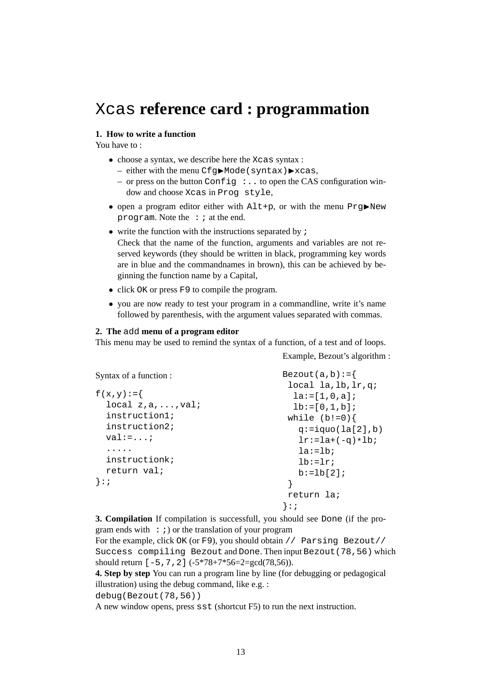### Xcas **reference card : programmation**

### **1. How to write a function**

You have to :

- choose a syntax, we describe here the Xcas syntax :
	- $-$  either with the menu Cfg $\blacktriangleright$ Mode(syntax) $\blacktriangleright$ xcas,
	- or press on the button Config  $\cdot$ .. to open the CAS configuration window and choose Xcas in Prog style,
- open a program editor either with  $\text{Alt} + \text{p}$ , or with the menu  $\text{Prg}$ New program. Note the  $: i$  at the end.
- write the function with the instructions separated by  $\chi$ Check that the name of the function, arguments and variables are not reserved keywords (they should be written in black, programming key words are in blue and the commandnames in brown), this can be achieved by beginning the function name by a Capital,
- click OK or press F9 to compile the program.
- you are now ready to test your program in a commandline, write it's name followed by parenthesis, with the argument values separated with commas.

#### **2. The** add **menu of a program editor**

This menu may be used to remind the syntax of a function, of a test and of loops.

Example, Bezout's algorithm :

```
Syntax of a function :
f(x,y):=\local z,a,...,val;
  instruction1;
  instruction2;
  val:=\ldots;.....
  instructionk;
  return val;
}:;
                                      Bezout(a,b):={}local la,lb,lr,q;
                                        l = [1, 0, a];
                                        lb:=[0,1,b];while (b!=0) {
                                         q:=iquo(la[2],b)lr:=la+(-q)*lb;la:=1b;
                                         lh:=lr;b:=1b[2];}
                                       return la;
                                      }:;
```
**3. Compilation** If compilation is successfull, you should see Done (if the program ends with  $\cdot$  ; ) or the translation of your program

For the example, click OK (or F9), you should obtain // Parsing Bezout// Success compiling Bezout and Done. Then input Bezout(78,56) which should return  $[-5, 7, 2]$  ( $-5*78+7*56=2=gcd(78,56)$ ).

**4. Step by step** You can run a program line by line (for debugging or pedagogical illustration) using the debug command, like e.g. :

debug(Bezout(78,56))

A new window opens, press sst (shortcut F5) to run the next instruction.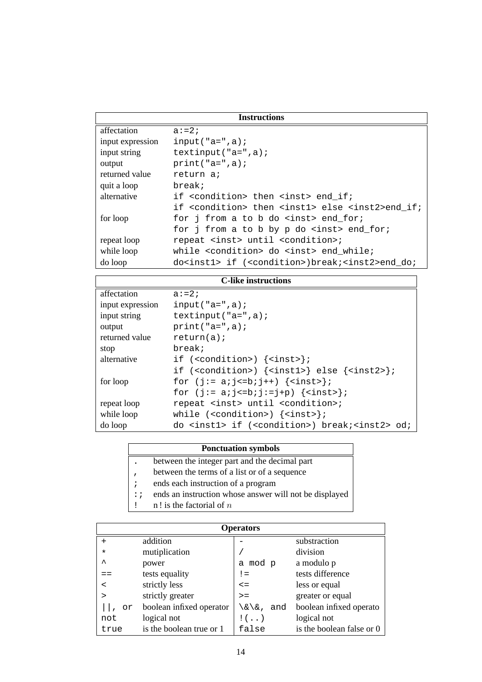| <b>Instructions</b> |                                                                             |  |
|---------------------|-----------------------------------------------------------------------------|--|
| affectation         | $a: = 2:$                                                                   |  |
| input expression    | $input("a=", a);$                                                           |  |
| input string        | textinput(" $a = "$ , $a$ );                                                |  |
| output              | $print("a="a");$                                                            |  |
| returned value      | return a;                                                                   |  |
| quit a loop         | break;                                                                      |  |
| alternative         | if <condition> then <inst> end if;</inst></condition>                       |  |
|                     | if <condition> then <inst1> else <inst2>end if;</inst2></inst1></condition> |  |
| for loop            | for j from a to b do <inst> end for;</inst>                                 |  |
|                     | for j from a to b by p do <inst> end_for;</inst>                            |  |
| repeat loop         | repeat <inst> until <condition>;</condition></inst>                         |  |
| while loop          | while <condition> do <inst> end while;</inst></condition>                   |  |
| do loop             | do <inst1> if (<condition>)break;<inst2>end do;</inst2></condition></inst1> |  |

| <b>C-like instructions</b> |                                                                                                         |  |
|----------------------------|---------------------------------------------------------------------------------------------------------|--|
| affectation                | $a: = 2:$                                                                                               |  |
| input expression           | input $("a="a");$                                                                                       |  |
| input string               | textinput(" $a = "$ , $a$ );                                                                            |  |
| output                     | $print("a="a");$                                                                                        |  |
| returned value             | return(a);                                                                                              |  |
| stop                       | break;                                                                                                  |  |
| alternative                | if $({\tt condition>})$ ${\tt \{links\}}$                                                               |  |
|                            | if ( <condition>) <math>\{\text{sink1&gt;}\}</math> else <math>\{\text{sink2&gt;}\}\</math></condition> |  |
| for loop                   | for $(j:= a; j<=b; j++)$ $\{<\text{inst}>\};$                                                           |  |
|                            | for $(j := a; j<=b; j:=j+p)$ $\{\text{links}\};$                                                        |  |
| repeat loop                | repeat <inst> until <condition>;</condition></inst>                                                     |  |
| while loop                 | while $({\tt condition>})$ $\{\text{links}\}\$                                                          |  |
| do loop                    | do <inst1> if (<condition>) break;<inst2> od;</inst2></condition></inst1>                               |  |

| <b>Ponctuation symbols</b> |  |
|----------------------------|--|
|----------------------------|--|

- . between the integer part and the decimal part
- , between the terms of a list or of a sequence
- ; ends each instruction of a program
- :; ends an instruction whose answer will not be displayed
- !  $\ln$ ! is the factorial of n

| <b>Operators</b> |                          |                           |                           |
|------------------|--------------------------|---------------------------|---------------------------|
| $+$              | addition                 |                           | substraction              |
| $\star$          | mutiplication            |                           | division                  |
| ᄉ                | power                    | mod p<br>a                | a modulo p                |
|                  | tests equality           | $!=$                      | tests difference          |
| $\,<\,$          | strictly less            | $\leq$ $=$                | less or equal             |
| >                | strictly greater         | $>=$                      | greater or equal          |
| or               | boolean infixed operator | $\lambda/\delta$ ,<br>and | boolean infixed operato   |
| not              | logical not              | $\mathbf{!}$ $($ . . )    | logical not               |
| true             | is the boolean true or 1 | false                     | is the boolean false or 0 |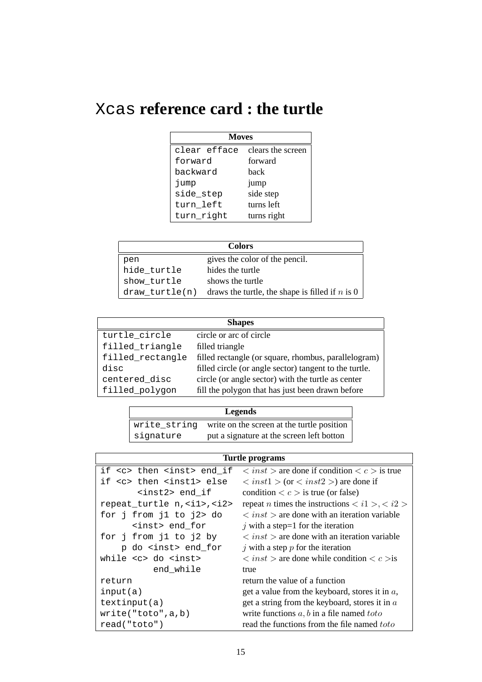# Xcas **reference card : the turtle**

| <b>Moves</b> |                   |  |
|--------------|-------------------|--|
| clear efface | clears the screen |  |
| forward      | forward           |  |
| backward     | back              |  |
| jump         | jump              |  |
| side_step    | side step         |  |
| turn left    | turns left        |  |
| turn_right   | turns right       |  |

| <b>Colors</b>  |                                                   |
|----------------|---------------------------------------------------|
| pen            | gives the color of the pencil.                    |
| hide turtle    | hides the turtle                                  |
| show turtle    | shows the turtle                                  |
| draw turtle(n) | draws the turtle, the shape is filled if $n$ is 0 |

| <b>Shapes</b>    |                                                        |  |
|------------------|--------------------------------------------------------|--|
| turtle_circle    | circle or arc of circle                                |  |
| filled_triangle  | filled triangle                                        |  |
| filled_rectangle | filled rectangle (or square, rhombus, parallelogram)   |  |
| disc             | filled circle (or angle sector) tangent to the turtle. |  |
| centered_disc    | circle (or angle sector) with the turtle as center     |  |
| filled_polygon   | fill the polygon that has just been drawn before       |  |

| <b>Legends</b> |                                            |  |
|----------------|--------------------------------------------|--|
| write string   | write on the screen at the turtle position |  |
| signature      | put a signature at the screen left botton  |  |

| Turtle programs                       |                                                                                    |  |
|---------------------------------------|------------------------------------------------------------------------------------|--|
| if <c> then <inst> end_if</inst></c>  | $\langle$ inst > are done if condition $\langle c \rangle$ is true                 |  |
| if <c> then <inst1> else</inst1></c>  | $\langle$ inst1 > (or $\langle$ inst2 >) are done if                               |  |
| $<$ inst2> end_if                     | condition $\langle c \rangle$ is true (or false)                                   |  |
| repeat_turtle n, <i1>, <i2></i2></i1> | repeat <i>n</i> times the instructions $\langle i1 \rangle$ , $\langle i2 \rangle$ |  |
| for j from j1 to j2> do               | $\langle$ inst $\rangle$ are done with an iteration variable                       |  |
| <inst> end_for</inst>                 | j with a step=1 for the iteration                                                  |  |
| for j from j1 to j2 by                | $\langle$ inst $\rangle$ are done with an iteration variable                       |  |
| p do <inst> end_for</inst>            | $j$ with a step $p$ for the iteration                                              |  |
| while <c> do <inst></inst></c>        | $\langle$ inst $\rangle$ are done while condition $\langle c \rangle$ is           |  |
| end while                             | true                                                                               |  |
| return                                | return the value of a function                                                     |  |
| input(a)                              | get a value from the keyboard, stores it in $a$ ,                                  |  |
| textinput(a)                          | get a string from the keyboard, stores it in $a$                                   |  |
| write('toto', a, b)                   | write functions $a, b$ in a file named $toto$                                      |  |
| read('toto")                          | read the functions from the file named toto                                        |  |